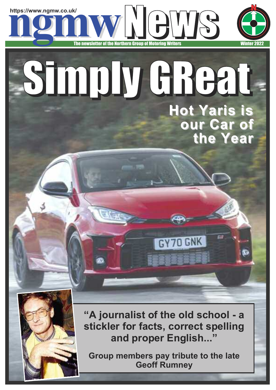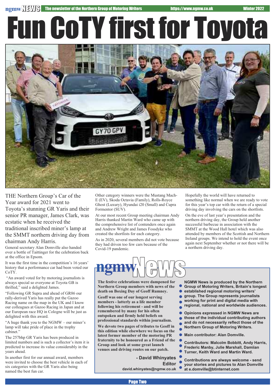## Fun CoTY firstfor Toyota



THE Northern Group's Car of the Year award for 2021 went to Toyota's stunning GR Yaris and their senior PR manager, James Clark, was ecstatic when he received the traditional inscribed miner's lamp at the SMMT northern driving day from chairman Andy Harris.

General secretary Alan Domville also handed over a bottle of Taittinger for the celebration back at the office in Epsom.

It was the first time in the competition's 16 years' history that a performance car had been voted our CoTY.

"An award voted for by motoring journalists is always special so everyone at Toyota GB is thrilled," said a delighted James.

"Following GR Supra and ahead of GR86 our rally-derived Yaris has really put the Gazoo Racing name on the map in the UK and I know our colleagues at Gazoo Racing in Japan and at our European race HQ in Cologne will be just as delighted with this award.

"A huge thank you to the NGMW – our miner's lamp will take pride of place in the trophy cabinet."

The 257bhp GR Yaris has been produced in limited numbers and is such a collector's item it is predicted to increase its value considerably in the years ahead.

In another first for our annual award, members were invited to choose the best vehicle in each of six categories with the GR Yaris also being named the best fun car.

Other category winners were the Mustang Mach-E (EV), Skoda Octavia (Family), Rolls-Royce Ghost (Luxury), Hyundai i20 (Small) and Cupra Formentor (SUV).

At our most recent Group meeting chairman Andy Harris thanked Martin Ward who came up with the comprehensive list of contenders once again and Andrew Wright and James Fossdyke who created the shortlists for each category.

As in 2020, several members did not vote because they had driven too few cars because of the Covid-19 pandemic.

Hopefully the world will have returned to something like normal when we are ready to vote for this year's top car with the return of a special driving day involving the cars on the shortlists.

On the eve of last year's presentation and the northern driving day, the Group held another successful barbecue in association with the SMMT at the Wood Hall hotel which was also attended by members of the Scottish and Northern Ireland groups. We intend to hold the event once again next September whether or not there will be a northern driving day.



**Northern Group members with news of the death on Boxing Day of Geoff Rumney.**

**Geoff was one of our longest serving members - latterly as a life member following his retirement - and will be remembered by many for his often outspoken and firmly held beliefs on professional standards within journalism.**

**We devote two pages of tributes to Geoff in this edition while elsewhere we focus on the latest former member of the motoring PR fraternity to be honoured as a Friend of the Group and look at some great launch venues and driving routes on our patch.**

> **- David Whinyates Editor david.whinyates@ngmw.co.uk**

**NGMW News is produced by the Northern**

- **Group of Motoring Writers, Britain's longest**
- **established regional motoring writers'**
- **group. The Group represents journalists**
- **working for print and digital media with**
- **regional, national and worldwide audiences.**

 $\bullet$ **Opinions expressed in NGMW News are**

- **those of the individual contributing authors and do not necessarily reflect those of the**
- **Northern Group of Motoring Writers.**

 $\bullet$ **Main contributor: Alan Domville.**

**Contributors: Malcolm Bobbitt, Andy Harris,**

- **Frederic Manby, Julie Marshall, Damiian**
- **Turner, Keith Ward and Martin Ward.**

**Contributions are always welcome - send your stories and pictures to Alan Domville at e.domville@btinternet.com**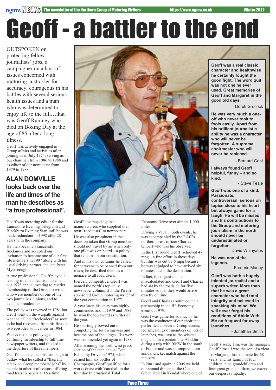## Geoff - a battler to the end

OUTSPOKEN on protecting fellow journalists' jobs, a campaigner on a host of issues concerned with motoring, a stickler for accuracy, courageous in his battles with several serious health issues and a man who was determined to enjoy life to the full…that was Geoff Rumney who died on Boxing Day at the age of 85 after a long illness.

Geoff was actively engaged in Group affairs and activities after joining us in July 1974, serving as our chairman from 1986 to 1988 and as editor of our newsletter from 1979 to 1988.

### **ALAN DOMVILLE looks** back over the **life and times of the man he describes as "a true professional".**

Geoff was motoring editor for the Lancashire Evening Telegraph and Blackburn Evening Star until he was made redundant in 1992 after 28 years with the company.

He then became a successful freelancer and accepted our invitation to become one of our first life members in 1997 along with his usual driving partner, the late Peter Myerscough.

A true professional, Geoff played a leading role in a decision taken at our 1978 annual meeting to restrict membership of the Group to writers who were members of one of the two journalists' unions, and to exclude broadcasters.

The policy was reversed in 1981 but Geoff went on the warpath against what he called "freeloaders" as soon as he had recovered from his first of two episodes with cancer in 1984.

We revised our policy again, confining membership to full time newspaper writers, and this led to the departure of three members.

Geoff then extended his campaign to outlaw what he called a "flagrant attack on Group members' jobs" by people in other professions offering road tests to papers at £5 a time.



Geoff also raged against manufacturers who supplied their own "road tests" to newspapers.

He was also prominent in the decision taken that Group members should not travel by air when only one pilot was on board – a policy that remains in our constitution.

And in his own columns he called for caravans to be banned from our roads; he described them as a menace to all road users.

Fiercely competitive, Geoff was named the north's top daily newspaper columnist in the Pirellisponsored Group motoring writer of the year competition in 1977.

A year later, his entry was highly commended and in 1979 and 1983 he won the top award as writer of the year.

He sportingly bowed out of competing the following year and became one of the judges. His work was commended yet again in 1988.

After winning the north west press section of the then annual Total Economy Drive in 1975, which earned him six bottles of Champagne, Geoff qualified for a works drive with Vauxhall in the four day International Total

Economy Drive over almost 1,000 miles.

Driving a Viva in both events, he was accompanied by the RAC's northern press officer Charles Gilbert who was his observer.

In the first round Geoff achieved 47 mpg – a fine effort in those days – but this was cut by 6 mpg because he was adjudged to have arrived six minutes late at the destination.

In fact, the organisers had miscalculated and Geoff and Charles had sat by the roadside for five minutes so that they would arrive exactly on time.

Geoff and Charles continued their partnership in the BP Economy event of 1979.

Geoff was game for so much – he was the conductor of our choir that performed at several Group events, led singalongs of members on lots of launches, was cast as the wicked magician in a pantomime Aladdin during a trip with BMW in the south of France and was an umpire at our annual cricket match against the industry.

In 2001 and again in 2005 we held our annual dinner at the Castle Green Hotel in Kendal where one of

**Geoff was a real classic character and healthwise he certainly fought the good fight. The word quit was not one he ever used. Great memories of Geoff and Margaret in the good old days.**

- Derek Grocock

**He was very much a oneoff who never took to fools easily. Apart from his brilliant journalistic ability he was a character who will never be forgotten. A supreme choirmaster who will never be replaced.**

- Bernard Gent

**I always found Geoff helpful, funny – and so kind.**

- Steve Teale

**Geoff was one of a kind. Passionate,**

**controversial, serious on topics close to his heart but always game for a laugh. He will be missed and his contributions to the Group and motoring journalism in the north should never be underestimated or forgotten.**

- David Whinyates

**He was one of the legends.**

- Frederic Manby

**Geoff was both a hugely talented journalist and a superb writer. More than that he was a great character who had total integrity and believed in speaking his mind. We will never forget his renditions of Abide With Me on frequent far-away launches.**

- Jonathan Smith

Geoff's sons, Tim, was the manager. Geoff himself was the son of a vicar.

To Margaret, his soulmate for 68 years, and his family of four children, nine grandchildren and four great grandchildren, we extend our deepest sympathy.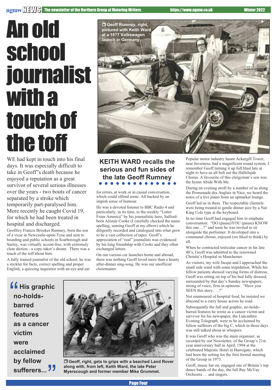### **ngmwNEWS** The newsletter of the Northern Group of Motoring Writers https://www.ngmw.co.uk Winter 2022

### Anold school **journalist** with a touch of the toff

WE had kept in touch into his final days. It was especially difficult to take in Geoff"s death because he enjoyed a reputation as a great survivor of several serious illnesses over the years - two bouts of cancer separated by a stroke which temporarily part-paralysed him. More recently he caught Covid 19, for which he had been treated in hospital and discharged.

Geoffrey Francis Brookes Rumney, born the son of a vicar in Newcastle-upon-Tyne and sent to boarding and public schools in Scarborough and Surrey, was virtually accent-free, with extremely clear diction - a copy-taker's dream. There was a touch of the toff about him.

A fully trained journalist of the old school, he was a stickler for facts, correct spelling and proper English; a quizzing inquisitor with an eye and ear



### **KEITH WARD recalls the serious and fun sides of the late Geoff Rumney**

for errors, at work or in casual conversation, which could offend some. All backed by an impish sense of humour.

He was a devoted listener to BBC Radio 4 and particularly, in its time, to the weekly "Letter From America" by his journalistic hero, Salfordborn Alistair Cooke (I carefully checked the name spelling, sensing Geoff at my elbow) which he diligently recorded and catalogued into what grew to be a vast collection of tapes. Geoff's appreciation of "real" journalists was evidenced by his long friendship with Cooke and they often exchanged letters.

On our various car launches home and abroad, there was nothing Geoff loved more than a hearty after-dinner sing-song. He was our unofficial choirmaster.

**ff** His graphic<br>
no-holds-<br>
barred **no-holdsbarred features as a cancer victim were acclaimed by fellow** accialmed<br>by fellow<br>sufferers... <sup>77</sup>



r **Geoff, right, gets to grips with a beached Land Rover along with, from left, Keith Ward, the late Peter Myerscough and former member Mike Grummet.**

Popular motor industry haunt Ackergill Tower, near Inverness, had a magnificent sound system. I remember Geoff turning it up full blast late at night to have us all belt out the Hallelujah Chorus. A favourite of this clergyman's son was the hymn Abide With Me.

During an evening stroll by a number of us along the Promenade des Anglais in Nice, we heard the notes of a live piano from an upmarket lounge.

Geoff led us in there. The respectable clientele were being treated to gentle dinner jazz by a Nat King Cole type at the keyboard.

In no time Geoff had engaged him in emphatic conversation: "DO (pause)YOU (pause) KNOW this one…?" and soon he was invited to sit alongside the performer. It developed into a communal chorus, enjoyed (we liked to think) by all.

When he contracted testicular cancer in his late 40's, Geoff was admitted to the renowned Christie's Hospital in Manchester.

As visitors, my wife Jacqui and I approached the small side ward with some trepidation. While his fellow patients showed varying forms of distress, Geoff was sitting on top of his bed fully dressed, surrounded by that day's Sunday newspapers; strong of voice, firm in opinions. "Have you SEEN this story…..?"

Not enamoured of hospital food, he insisted we abscond to a curry house across he road.

Subsequently the full and graphic, no-holdsbarred features he wrote as a cancer victim and survivor for his newspaper, the Lancashire Evening Telegraph, were to be acclaimed by fellow sufferers of the big C, which in those days was still talked about in whispers.

It was Geoff who was the main organiser, as recorded by our Newsletter, of the Group's 21st year anniversary ball in April, 1994 at the celebrated Majestic Hotel in Harrogate, which had been the setting for the first formal meeting of the Group in 1973.

Geoff, music hat on, engaged one of Britain's top dance bands of the day, the full Ray McVay Orchestra … and singers.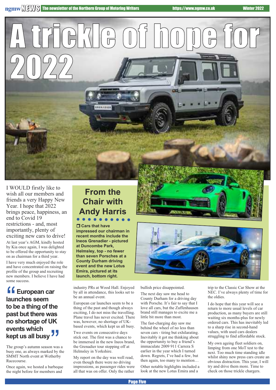I WOULD firstly like to wish all our members and friends a very Happy New Year. I hope that 2022 brings peace, happiness, an end to Covid 19 restrictions - and, most importantly, plenty of exciting new cars to drive! At last year's AGM, kindly hosted by Kia once again, I was delighted to be offered the opportunity to stay on as chairman for a third year.

2022

I have very much enjoyed the role and have concentrated on raising the profile of the group and recruiting new members. I believe I have had some success.

### **f** European car<br>launches seem<br>to be a thing of th **launches seem to be a thing of the past but there was no shortage of UK events which kept us all busy** IK<br>JJ

The group's autumn season was a busy one, as always marked by the SMMT North event at Wetherby Racecourse.

Once again, we hosted a barbeque the night before for members and

### **From the Chair with Andy Harris**

**MARY RE** 

A trickle of hope for

### $\Box$  **Cars that have**

**impressed our chairman in recent months include the Ineos Grenadier - pictured at Duncombe Park, Helmsley, top - no fewer than seven Porsches at a County Durham driving event and the new Lotus Emira, pictured at its launch, bottom right.**

industry PRs at Wood Hall. Enjoyed by all in attendance, this looks set to be an annual event.

European car launches seem to be a thing of the past and though always exciting, I do not miss the travelling. Plane travel has never excited. There was, however, no shortage of UKbased events, which kept us all busy.

Two events on consecutive days stick out. The first was a chance to be immersed in the new Ineos brand, the Grenadier tour stopping off at Helmsley in Yorkshire.

My report on the day was well read, even though there were no driving impressions, as passenger rides were all that was on offer. Only the rather



bullish price disappointed.

The next day saw me head to County Durham for a driving day with Porsche. It's fair to say that I love all cars, but the Zuffenhausen brand still manages to excite me a little bit more than most.

The fast-charging day saw me behind the wheel of no less than seven cars - tiring but exhilarating. Inevitably it got me thinking about the opportunity to buy a friend's immaculate 2009 911 Carrera S earlier in the year which I turned down. Regrets, I've had a few, but then again, too many to mention… Other notable highlights included a look at the new Lotus Emira and a

trip to the Classic Car Show at the NEC. I've always plenty of time for the oldies.

I do hope that this year will see a return to more usual levels of car production, as many buyers are still waiting six months-plus for newly ordered cars. This has inevitably led to a sharp rise in second-hand values, with used cars dealers struggling to find affordable stock.

My own ageing fleet soldiers on, limping from one MoT test to the next. Too much time standing idle whilst shiny new press cars create an obvious distraction. This year, I will try and drive them more. Time to check on those trickle chargers.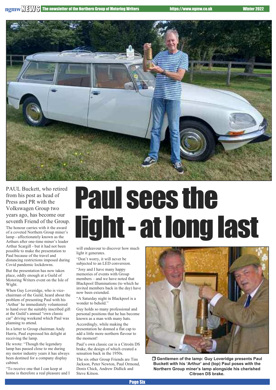

PAUL Buckett, who retired from his post as head of Press and PR with the Volkswagen Group two years ago, has become our seventh Friend of the Group. The honour carries with it the award of a coveted Northern Group miner's lamp - affectionately known as the Arthurs after one-time miner's leader Arthur Scargill - but it had not been possible to make the presentation to Paul because of the travel and distancing restrictions imposed during Covid pandemic lockdowns.

But the presentation has now taken place, oddly enough at a Guild of Motoring Writers event on the Isle of Wight.

When Guy Loveridge, who is vicechairman of the Guild, heard about the problem of presenting Paul with his 'Arthur' he immediately volunteered to hand over the suitably inscribed gift at the Guild's annual "own classic car" driving weekend which Paul was planning to attend.

In a letter to Group chairman Andy Harris, Paul expressed his delight at receiving the lamp.

He wrote: "Though the legendary lamp has passed close to me during my motor industry years it has always been destined for a company display cabinet.

"To receive one that I can keep at home is therefore a real pleasure and I

## Paul sees the light- atlonglast

will endeavour to discover how much light it generates.

"Don't worry, it will never be subjected to an LED conversion.

"Josy and I have many happy memories of events with Group members – and we have noted that Blackpool Illuminations (to which he invited members back in the day) have now been extended.

"A Saturday night in Blackpool is a wonder to behold."

Guy holds so many professional and personal positions that he has become known as a man with many hats.

Accordingly, while making the presentation he donned a flat cap to add a little more northern flavour to the moment!

Paul's own classic car is a Citroën DS brake, the design of which created a sensation back in the 1950s.

The six other Group Friends are Tim Jackson, Peter Newton, Paul Ormond, Denis Chick, Andrew Didlick and Steve Kitson.



r **Gentlemen of the lamp: Guy Loveridge presents Paul Buckett with his 'Arthur' and (top) Paul poses with the Northern Group miner's lamp alongside his cherished Citroen DS brake.**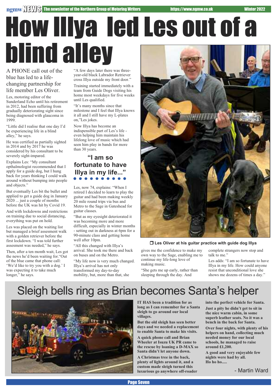A PHONE call out of the "A few days later there was three-How Illya led Les out of a blind alley

blue has led to a lifechanging partnership for life member Les Oliver.

Les, motoring editor of the Sunderland Echo until his retirement in 2012, had been suffering from gradually deteriorating sight since being diagnosed with glaucoma in 1999.

"Little did I realise that one day I'd be experiencing life in a blind alley," he says.

He was certified as partially sighted in 2014 and by 2017 he was considered by his consultant to be severely sight-impared.

Explains Les: "My consultant opthalmologist recommended that I apply for a guide dog, but I hung back for years thinking I could walk around without bumping into people and objects."

But eventually Les bit the bullet and applied to get a guide dog in January 2020 ... just a couple of months before the UK was hit by Covid 19.

And with lockdowns and restrictions on training due to social distancing, everything was put on hold.

Les was placed on the waiting list but managed a brief assesment walk with a golden retriever before the first lockdown. "I was told further assesment was needed," he says.

Then, after a ten month wait, Les got the news he'd been waiting for."Out of the blue came that phone call: 'We'd like to try you with a dog.' I was expecting it to take much longer," he says.

year-old black Labrador Retriever cross Illya outside my front door."

Training started immediately with a team from Guide Dogs visiting his home most weekdays for five weeks until Les qualified.

"It's many months since that milestone and I feel that Illya knows it all and I still have my L-plates on,"Les jokes.

Now Illya has become an indispensible part of Les's life even helping him maintain his lifelong love of music which had seen him play in bands for more than 30 years.

### **"I am so fortunate to have Illya in my life..."**

Les, now 74, explains: "When I retired I decided to learn to play the guitar and had been making weekly 20 mile round trips via bus and Metro to the Sage in Gateshead for guitar classes.

"But as my eyesight deteriorated it was becoming more and more difficult, especially in winter months - setting out in darkness at 6pm for a 90-minute class and getting home well after 10pm.

"All this changed with Illya's arrival. She took me there and back on buses and on the Metro.

"My life now is very much changed. Illya's arrival has not only transformed my day-to-day mobility, but, more than that, she



#### r **Les Oliver at his guitar practice with guide dog Illya**

gives me the confidence to make my own way to the Sage, enabling me to continue my life-long love of making music.

complete strangers now stop and talk to me."

"She gets me up early, rather than sleeping through the day. And

Les adds: "I am so fortunate to have Illya in my life. How could anyone resist that unconditional love she shows me dozens of times a day."

Sleigh bells ring as Brian becomes Santa's helper



**IT HAS been a tradition for as long as I can remember for a Santa sleigh to go around our local villages.**

**But the old sleigh has seen better days and we needed a replacement to enable Santa to make his visits.**

**A quick phone call and Brian Wheeler at Isuzu UK PR came to the rescue by loaning a D-MAX so Santa didn't let anyone down.**

**A Christmas tree in the back, plenty of lights around it, and a custom made sleigh turned this luxurious go anywhere off-roader** **into the perfect vehicle for Santa. Just a pity he didn't get to sit in the nice warm cabin, in some superb leather seats. No it was a bench in the back for Santa.**

**Over four nights, with plenty of his helpers on hand, collecting much needed money for our local schools, he managed to raise around £1,200.**

**A good and very enjoyable few nights were had by all. Ho ho ho.....**

- Martin Ward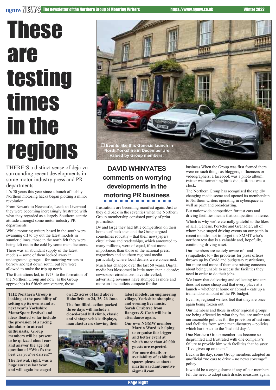## **These** are testing times in the

THERE'S a distinct sense of deja vu surrounding recent developments in some motor industry press and PR departments.

It's 50 years this year since a bunch of bolshy Northern motoring hacks began plotting a minor revolution.

From Newark to Newcastle, Leeds to Liverpool they were becoming increasingly frustrated with what they regarded as a largely Southern-centric attitude amongst some motor industry PR departments.

While motoring writers based in the south were swanning off to try out the latest models in sunnier climes, those in the north felt they were being left out in the cold by some manufacturers.

There was an abundant supply of the latest models – some of them locked away in underground garages - for motoring writers to borrow and test down south, but few were allowed to make the trip up north.

The frustrations led, in 1973, to the formation of the Northern Group and now, as the Group approaches its fiftieth anniversary, those



### **DAVID WHINYATES comments on worrying developments in the motoring PR business**

frustrations are becoming manifest again. Just as they did back in the seventies when the Northern Group membership consisted purely of print journalists.

By and large they had little competition on their home turf back then and the Group argued sometimes robustly – that their newspapers' circulations and readerships, which amounted to many millions, were of equal, if not more, importance, than those of the national press, magazines and southern regional media particularly where local dealers were concerned. Much has changed over the last 50 years. Digital media has blossomed in little more than a decade; newspaper circulations have shrivelled; advertising revenues have slumped as more and more on-line outlets compete for the

**THE Northern Group is looking at the possibility of setting up its own stand at next year's Yorkshire MotorSport Festival and ideas floated so far include the provision of a racing simulator to attract enthusiasts. Group members will be present to be quizzed about cars and answer the age old question of "What's the best car you've driven?"**

**The festival, right, was a huge success last year and will again be staged**

**on 125 acres of land above Holmfirth on 24, 25, 26 June. The fun filled, action packed three days will include a closed-road hill climb, classic and vintage vehicle displays, manufacturers showing their**



**latest models, an engineering village, Yorkshire shopping and evening live music. Sarah Crabtree from Bangers & Cash will be in attendance again. Our own NGMW member**

**Martin Ward is helping to organise this bigger and better event at which more than 40,000 guests are expected.**

**For more details or availability of exhibition spaces please contact: martinward.automotive @gmail.com**

business.When the Group was first formed there were no such things as bloggers, influencers or videographers; a facebook was a photo album; twitter was something birds did; a tik-tok was a clock.

The Northern Group has recognised the rapidly changing media scene and opened its membership to Northern writers operating in cyberspace as well as print and broadcasting.

But nationwide competition for test cars and driving facilities means that competition is fierce. Which is why we're eternally grateful to the likes of Kia, Genesis, Porsche and Grenadier, all of whom have staged driving events on our patch in recent months, not to forget the SMMT who's northern test day is a valuable and, hopefully, continuing driving asset.

Our members are acutely aware of - and sympathetic to - the problems for press offices thrown up by Covid and budgetary restrictions, but more and more of them are raising concerns about being unable to access the facilities they need in order to do their jobs.

We know that delivering and collecting test cars does not come cheap and that every place at a launch – whether at home or abroad – eats up a tremendous amount of the PR budget.

Even so, regional writers feel that they are once again being frozen out.

Our members and those in other regional groups are being affected by what they feel are unfair and unreasonable policies for the provision of test cars and facilities from some manufacturers – policies which hark back to the 'bad old days'.

One Northern Group member has become so disgruntled and frustrated with one company's failure to provide him with facilities that he says: "I've given up on them."

Back in the day, some Group members adopted an unofficial "no cars to drive – no news coverage" policy.

It would be a crying shame if any of our members felt the need to adopt such drastic measures again.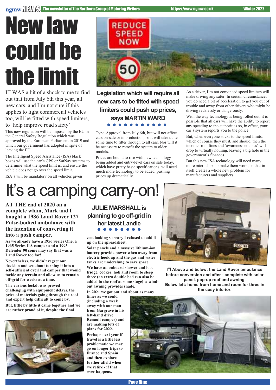### Newlaw could be the limit

IT WAS a bit of a shock to me to find out that from July 6th this year, all new cars, and I'm not sure if this applies to light commercial vehicles too, will be fitted with speed limiters, to 'help improve road safety'.

This new regulation will be imposed by the EU in the General Safety Regulation which was approved by the European Parliament in 2019 and which our government has adopted in spite of leaving the EU.

The Intelligent Speed Assistance (ISA) black boxes will use the car's GPS or SatNav systems to determine what the speed limit is, and ensure the vehicle does not go over the speed limit.

ISA's will be mandatory on all vehicles given

### **REDUCE SPEED NOW**

**Legislation which will require all new cars to be fitted with speed limiters could push up prices, says MARTIN WARD** .........

Type-Approval from July 6th, but will not affect cars on-sale or in production, so it will take quite some time to filter through to all cars. Nor will it be necessary to retrofit the system to older models.

Prices are bound to rise with new technology being added and entry-level cars on sale today, which have pretty basic specifications, will need much more technology to be added, pushing prices up dramatically.

As a driver, I'm not convinced speed limiters will make driving any safer. In certain circumstances you do need a bit of acceleration to get you out of trouble and away from other drivers who might be driving recklessly or dangerously.

With the way technology is being rolled out, it is possible that all cars will have the ability to report any speeding to the authorities so, in effect, your car's system reports you to the police.

But, when everyone sticks to the speed limits, which of course they must, and should, then the income from fines and 'awareness courses' will drop to virtually nothing, leaving a big hole in the government's finances.

But this new ISA technology will need many more microchips to make them work, so that in itself creates a whole new problem for manufacturers and suppliers.

### It's a camping carry-on!

**AT THE end of 2020 on a complete whim, Mark and I bought a 1986 Land Rover 127 Pulse-bodied ambulance with the intention of converting it into a posh camper.**

**As we already have a 1956 Series One, a 1965 Series IIA camper and a 1993 Defender 90 some may say that was a Land Rover too far!**

**Nevertheless, we didn't regret our decision and set about turning it into a self-sufficient overland camper that would tackle any terrain and allow us to remain off-grid for weeks at a time.**

**The various lockdowns proved challenging with equipment delays, the price of materials going through the roof and expert help difficult to come by.**

**But, little by little it came together and we are rather proud of it, despite the final**



**JULIE MARSHALL is planning to go off-grid in her latest Landie** 

**cost looking so scary I refused to add it up on the spreadsheet.**

**Solar panels and a massive lithium-ion battery provide power when away from electric hook up and the gas and water tanks are underslung to save space.**

**We have an onboard shower and loo, fridge, cooker, hob and room to sleep three (an extra double bed can also be added to the roof at some stage) a windout awning provides shade.**

**In 2021 we got out and about as many**

**times as we could (including a week away with our man from Gargrave in his left-hand drive Renault camper) and are making lots of plans for 2022.**

**Perhaps next year if travel is a little less problematic we may go on longer trips to France and Spain and then explore further afield when we retire - if that ever happens.**



r **Above and below: the Land Rover ambulance before conversion and after - complete with solar panel, pop-up roof and awning. Below left: home from home and room for three in the cosy interior.**

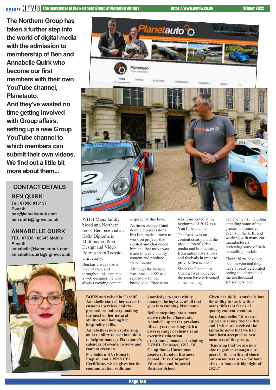**The Northern Group has taken a further step into the world of digital media with the admission to membership of Ben and Annabelle Quirk who become** our first **members with their own YouTube channel, Planetauto. And they've wasted no time getting involved**

**with Group affairs, setting up a new Group YouTube channel to which members can submit their own videos. We find out a little bit more about them...**

### **CONTACT DETAILS**

**BEN QUIRK: Tel: 07890 015157 E-mail: ben@kameleonuk.com ben.quirk@ngmw.co.uk**

### **ANNABELLE QUIRK**

**TEL: 07538 100645 Mobile E-mail: annabelle@kameleonuk.com annabelle.quirk@ngmw.co.uk**





WITH Manx family blood and Northern roots, Ben received an HND Diploma in Multimedia, Web Design and Video Editing from Teesside University. Ben has always had a

love of cars, and throughout his career as a web designer, he was always creating content inspired by this love.

As times changed (and double dip recessions bit) Ben made a move to work on projects that excited and challenged him and that move was made to create quality content and produce video reviews.

Although the website was born in 2005 as a repository for car knowledge, Planetauto was re-invented at the beginning of 2017 as a YouTube channel.

The focus was on content creation and the production of video media and broadcasting from automotive shows and festivals in order to provide live access.

Since the Planetauto Channel was launched, the team have celebrated some amazing

achievements, including attending some of the greatest automotive events in the U.K. and working with many car manufacturers, reviewing some of their bestselling models.

Their efforts have not been in vein and they have already celebrated seeing the channel hit the ten thousand subscribers level.

**BORN and raised in Cardiff, Annabelle started her career in customer services and the promotions industry, making the most of her natural abilities and honing her hospitality skills.**

**Annabelle is now capitalising on her ability to use these skills to help co-manage Planetauto's calendar of events, reviews and content creation.**

**She holds a BA (Hons) in English, and a PRINCE2 Certificate, which gives her the communication skills and**

**knowledge to successfully manage the logistics of all that goes into running Planetauto.**

**Before stepping into a more active role for Planetauto, Annabelle spent the previous fifteen years working with a diverse range of clients as an executive education programme manager including LVMH, Emirates, GSL, BP, Co-op Bank, Uncommon Leaders, London Business School, Duke Corporate Education and Imperial Business School.**

**Given her skills, Annabelle has the ability to work within many different facets of quality content creation. Says Annabelle: "It was an especially sunny day for Ben and I when we received the fantastic news that we had both been accepted as new members of the group.**

**"Knowing that we are now able to gather amongst our peers in the north and share our encounters was – for both of us – a fantastic highlight of 2021."**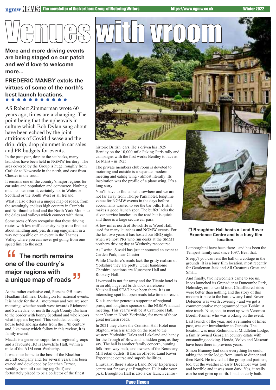**are being staged on our patch and we'd love to welcome more...**

### **FREDERIC MANBY extols the virtues of some of the north's best launch locations.**

AS Robert Zimmerman wrote 60 years ago, times are a changing. The point being that the upheavals in culture which Bob Dylan sang about have been echoed by the joint attritions of Covid disease and the drip, drip, drop plummet in car sales and PR budgets for events.

In the past year, despite the set backs, many launches have been held in NGMW territory. The area covered by the Group is huge, roughly from Carlisle to Newcastle in the north, and east from Chester in the south.

It remains one of the country's major regions for car sales and population and commerce. Nothing much comes near it, certainly not in Wales or Scotland or the South West or all Ireland.

What it also offers is a unique map of roads, from the seemingly endless high country in Cumbria and Northumberland and the North York Moors to the dales and valleys which connect with them.

Some press offices recognise that these driving routes with low traffic density help us to find out about handling and, yes, driving enjoyment in a way not possible on an event in the Thames Valley where you can never get going from one speed limit to the next.

### **f** The north remains<br>
one of the country's<br>
major regions with **one of the country's major regions with a unique map of roads** ,<br>"

At the rather exclusive end, Porsche GB uses Headlam Hall near Darlington for national events. It is handy for the A1 motorway and you are soon motoring, whether south west towards Richmond and Swaledale, or north through County Durham to the border with bonny Scotland and who knows what happens beyond. This secluded country house hotel and spa dates from the 17th century and, like many which follow in this review, it is family owned.

Mazda is a generous supporter of regional groups and a favourite HQ is Bowcliffe Hall, within a mile of the A1M near Wetherby.

It was once home to the boss of the Blackburn aircraft company and, for several years, has been owned and developed by Jonathan Turner, wealthy from oil retailing (eg Gulf) and fortunately placed to be a collector of the finest



meeting and eating wing - almost literally. Its inspiration was the profile of a plane wing. It's a long story.

You'll have to find a bed elsewhere and we are not far away from Thorpe Park hotel, longtime venue for NGMW events in the days before accountants wanted to see the bar bills. It still makes a good launch spot. The buffet lacks the silver service lunches up the road but is quick and there is a large secure car park.

A few miles north of Bowcliffe is Wood Hall, used for many launches and NGMW events. For the last two years it has hosted our BBQ night when we host PRs who run desks at the SMMT northern driving day at Wetherby racecourse.

As I write, Suzuki has just announced an event at Carden Park, near Chester.

While Cheshire's roads lack the gritty realism of Yorkshire they are pretty. Other handsome Cheshire locations are Nunsmere Hall and Rookery Hall.

Liverpool is not far away and the Titanic hotel is in an old, huge red brick dock warehouse. Vauxhall and SEAT have been there. It is an interesting spot but open roads take time to reach.

Kia is another generous supporter of regional press, and longtime sponsor of the NGMW annual meeting. This year's will be at Crathorne Hall, near Yarm in North Yorkshire, for more of those great northern roads.

In 2021 they chose the Coniston Hall Hotel near Skipton, which is smack on the road to the western Yorkshire Dales and Lakeland and handy for the Trough of Bowland, a hidden gem, as they say. The hall is another family concern, hunting folk from way back, and owners of the Boundary Mill retail outlets. It has an off-road Land Rover Experience course and superb facilities.

Unusually, there's also a Land Rover Experience centre not far away at Broughton Hall: take your pick. Broughton Hall is also a car launch centre -





#### r **Broughton Hall hosts a Land Rover Experience Centre and is a busy film location.**

Lamborghini have been there - and has been the Tempest family seat since 1097. Beat that.

Sleepy? you can rent the hall or a cottage in the grounds. It is a busy film location, most recently for Gentleman Jack and All Creatures Great and Small.

And finally, two newcomers came to see us. Ineos launched its Grenadier at Duncombe Park, Helmsley, on its world tour. Chauffeured rides were better than nothing and the story of this modern tribute to the battle weary Land Rover Defender was worth covering - and we got a commemorative monogrammed tour T-shirt. A nice touch. Nice, too, to meet up with Veronica Borelli-Painter who was working on the event.

Last launch of the year, and a reminder of times past, was our introduction to Genesis. The location was near Richmond at Middleton Lodge, a family owned Georgian country estate with outstanding cooking. Honda, Volvo and Maserati have been there in previous years.

Simon Branney had done everything he could, taking the entire lodge from lunch to dinner and then B&B. He invited all the group and partners, too, but the weather in early December was foul and horrible and it was soon dark. Yes, it really can be reet grim up north. I had an early bath.

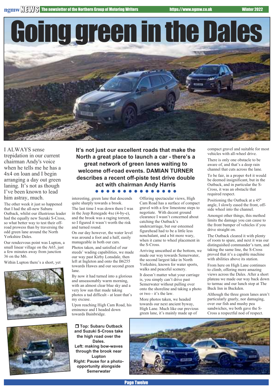Going green in the Dales

I ALWAYS sense trepidation in our current chairman Andy's voice when he tells me he has a 4x4 on loan and I begin arranging a day out green laning. It's not as though I've been known to lead him astray, much.

The other week it just so happened that I had the all-new Subaru Outback, whilst our illustrious leader had the equally new Suzuki S-Cross, so what better way to test their offroad prowess than by traversing the odd green lane around the North Yorkshire Dales.

Our rendezvous point was Lupton, a small linear village on the A65, just a few minutes away from junction 36 on the M6.

Within Lupton there's a short, yet





**It's not just our excellent roads that make the North a great place to launch a car - there's a great network of green lanes waiting to welcome off-road events. DAMIAN TURNER describes a recent off-piste test drive double act with chairman Andy Harris**

#### .........

interesting, green lane that descends quite sharply towards a brook. The last time I was down there I was

in the Jeep Renegade 4xe (4-by-e), and the brook was a raging torrent, so I figured it wasn't worth the risk and turned round.

On our day however, the water level was around a foot and a half, easily manageable in both our cars.

Photos taken, and satisfied of our steeds' wading capabilities, we made our way past Kirby Lonsdale, then left at Ingleton and onto the B6255 towards Hawes and our second green lane.

By now it had turned into a glorious and unseasonably warm morning, with an almost clear blue sky and a very low sun that made taking photos a tad difficult - at least that's my excuse.

Upon reaching High Cam Road, his eminence and I headed down towards Bainbridge.

r **Top: Subaru Outback and Suzuki S-Cross take the high road over the Dales. Left: making bow-waves through the brook near Lupton Right: Pause for a photoopportunity alongside Semerwater**

Offering spectacular views, High Cam Road has a surface of compact gravel with a few limestone steps to negotiate. With decent ground clearance I wasn't concerned about catching the Outback's undercarriage, but our esteemed figurehead had to be a little less nonchalant, and a bit more wary, when it came to wheel placement in the S-Cross.

Arriving unscathed at the bottom, we made our way towards Semerwater, the second largest lake in North Yorkshire, known for water sports, walks and peaceful scenery.

It doesn't matter what your carriage is, you simply can't drive past Semerwater without pulling over onto the shoreline and taking a photo or two - it's the law.

More photos taken, we headed towards our next ancient byway, High Lane. Much like our previous green lane, it's mainly made up of

compact gravel and suitable for most vehicles with all-wheel drive.

There is only one obstacle to be aware of, and that's a deep rain channel that cuts across the lane.

To be fair, in a proper 4x4 it would be deemed insignificant, but in the Outback, and in particular the S-Cross, it was an obstacle that required respect.

Positioning the Outback at a 45º angle, I slowly eased the front, offside wheel into the channel.

Amongst other things, this method limits the damage you can cause to the front bumper of vehicles if you drive straight on.

The Outback cleared it with plenty of room to spare, and next it was our distinguished commander's turn, and taking the same line, the S-Cross proved that it's a capable machine with abilities above its station.

From here on High Lane continues to climb, offering more amazing views across the Dales. After a short plateau we made our way back down to tarmac and our lunch stop at The Buck Inn in Buckden.

Although the three green lanes aren't particularly gnarly, nor damaging, over our fish and mushy pea sandwiches, we both gave the S-Cross a respectful nod of respect.



Page Twelve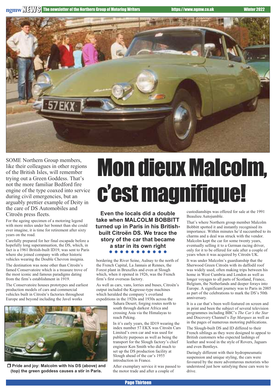

SOME Northern Group members, like their colleagues in other regions of the British Isles, will remember trying out a Green Goddess. That's not the more familiar Bedford fire engine of the type coaxed into service during civil emergencies, but an arguably prettier example of Deity in the care of DS Automobiles and Citroën press fleets.

For the ageing specimen of a motoring legend with more miles under her bonnet than she could ever imagine, it is time for retirement after sixty years on the road.

Carefully prepared for her final escapade before a hopefully long superannuation, the DS, which, in fact is a 1961 British-built ID19, was sent to Paris where she joined company with other historic vehicles wearing the Double Chevron insignia.

The destination was none other than Citroën's famed Conservatoire which is a treasure trove of the most iconic and famous paradigms dating from the firm's establishment in 1919.

The Conservatoire houses prototypes and earliest production models of cars and commercial vehicles built in Citroën's factories throughout Europe and beyond including the Javel works



r **Pride and joy: Malcolm with his DS (above) and (top) the green goddess causes a stir in Paris.**

## **Mon dieux Malcolm,** c'estmagnifique!

**Even the locals did a double take when MALCOLM BOBBITT turned up in Paris in his Britishbuilt Citroën DS. We trace the story of the car that became a star in its own right**

bordering the River Seine, Aulnay to the north of the French Capital, La Jannais at Rennes, the Forest plant in Bruxelles and even at Slough which, when it opened in 1926, was the French firm's first overseas factory.

As well as cars, vans, lorries and buses, Citroën's output included the Kegresse-type machines which heralded the company's overland expeditions in the 1920s and 1930s across the

> Sahara Desert, forging routes north to south through darkest Africa and crossing Asia via the Himalayas to reach Peking.

In it's early years, the ID19 wearing the index number 57 EKX was Citroën Cars Limited's own car and was used for publicity purposes as well as being the transport for the Slough factory's chief engineer Ken Smith who did much to set up the DS production facility at Slough ahead of the car's 1955 introduction in France.

After exemplary service it was passed to the motor trade and after a couple of

custodianships was offered for sale at the 1991 Beaulieu Autojumble.

That's where Northern group member Malcolm Bobbitt spotted it and instantly recognised its importance. Within minutes he'd succumbed to its charms and a deal was struck with the vendor. Malcolm kept the car for some twenty years, eventually selling it to a German racing driver, only for it to be offered for sale after a couple of years when it was acquired by Citroën UK.

It was under Malcolm's guardianship that the Sherwood Green Citroën with its daffodil roof was widely used, often making trips between his home in West Cumbria and London as well as longer voyages to all parts of Scotland, France, Belgium, the Netherlands and deeper forays into Europe. A significant journey was to Paris in 2005 as part of the celebrations to mark the DS's 50th anniversary.

It is a car that's been well-featured on screen and in print and been the subject of several television programmes including BBC's *The Car's the Star* and Discovery Channel's *Top Marques* as well as in the pages of numerous motoring publications.

The Slough-built DS and ID differed to their French siblings as they were designed to appeal to British customers who expected lashings of leather and wood in the style of Rovers, Jaguars and even Bentleys.

Daringly different with their hydropneumatic suspension and unique styling, the cars were favoured by the more adventurous motorists who understood just how satisfying these cars were to drive.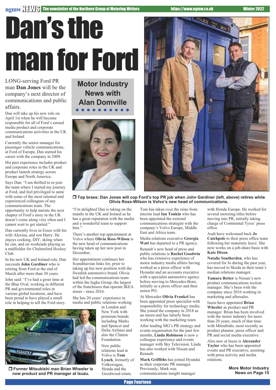# Dan's the man for Ford

LONG-serving Ford PR man **Dan Jones** will be the company's next director of communications and public affairs.

Dan will take up his new role on April 1st when he will become responsible for all of Ford's earned media product and corporate communications activities in the UK and Ireland.

Currently the senior manager for passenger vehicle communications, at Ford of Europe, Dan started his career with the company in 2009.

His past experience includes product and corporate roles in the UK and product launch strategy across Europe and North America.

Says Dan: "I am thrilled to re-join the team where I started my journey at Ford, and feel privileged to unite with some of the most talented and experienced colleagues of any communications team. The opportunity to help narrate the next chapter of Ford's story in the UK doesn't come along very often and I cannot wait to get started."

Dan currently lives in Essex with his wife Alexina, and son Harry. He enjoys cooking, DIY, skiing when he can, and on weekends playing as a midfielder for Chelmsford Hockey Club.

In his new UK and Ireland role, Dan succeeds **John Gardiner** who is retiring from Ford at the end of March after more than 30 years.

John said: "I've had a great time at the Blue Oval, working in different PR and governmental roles in various global locations, and have been proud to have played a small role in helping to tell the Ford story. **Motor Industry News with Alan Domville**  $\bullet\bullet\bullet\bullet$ 





r **Top brass: Dan Jones will cop Ford's top PR job when John Gardiner (left, above) retires while Olivia Ross-Wilson is Volvo's new head of communications.**

"I'm delighted Dan is taking on the mantle in the UK and Ireland as he has a great reputation with the media and a wonderful team to support him."

There's another top appointment at Volvo where **Olivia Ross-Wilson** is the new head of communications having taken up her new post in December,

Her appointment continues her Scandinavian links for, prior to taking up her new position with the Swedish automotive brand, Olivia had led the communications team within the Ingka Group, the largest of the franchisees that operate IKEA stores - since 2016.

She has 20 years' experience in media and public relations working

in London and New York with premium brands including Marks and Spencer and Delta Airlines and also the Clinton Foundation.

New public relations lead at Volvo is **Tom Lynch**, formerly of Volkswagen, Honda and the Goodwood estate.

Tom has taken over the reins from interim lead **Ian Tonkin** who has been appointed the external communications strategist with the company's Volvo Europe, Middle East and Africa team.

Media relations executive **Georgia Watt** has departed to a PR agency.

Renault's new head of press and public relations is **Rachel Goodwin** who has extensive experience of motor industry media affairs having worked as a press officer with Hyundai and an accounts executive with a specialist automotive agency before moving to Mercedes-Benz, initially as a press officer and then senior PO.

At Mercedes **Olivia Frankel** has been appointed press specialist with responsibility for technology media. She joined the company in 2018 as an intern and has latterly been working with the marketing team.

After leading MG's PR strategy and events organisation for the past few months, **Linda Robinson** is now a colleague experience and events manager with Sky Television. Linda has also worked with Nissan and Renault.

**Mark Griffiths** has joined Hyundai as their corporate PR manager. Previously, Mark was communications insight manager

with Honda Europe. He worked for several motoring titles before moving into PR, initially taking charge of Continental Tyres' press office.

Audi have welcomed back **Jo Catchpole** to their press office team following her maternity leave. She now works on a job-share basis with **Kate Dixon**.

**Natalie Southerden**, who has covered for Jo during the past year, has moved to Skoda as their team's median relations manager.

**Tamara Better** is Nissan's new product communications section manager. She's been with the company since 2016 working in marketing and aftersales.

Isuzu have appointed **Brian Wheeler** as product and PR manager. Brian has been involved with the motor industry for more than 20 years, much of that time with Mitsubishi, most recently as product planner, press officer and PR and social media executive.

Also new at Isuzu is **Alexander Taylor** who has been appointed events and PR executive, assisting with press activity and media relations.

> **More Motor Industry News on Page 15**



r **Former Mitsubishi man Brian Wheeler is now product and PR manager at Isuzu.**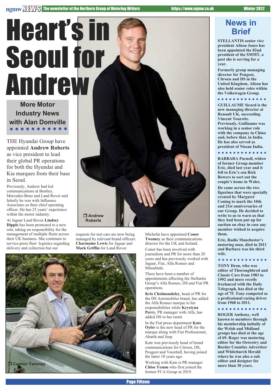Heart's in

### **News in Brief**

**STELLANTIS senior vice president Alison Jones has been appointed the 82nd president of the SMMT, a post she is serving for a year.**

**Formerly group managing director for Peugeot, Citroen and DS in the United Kingdom, Alison has also held senior roles within the Volkswagen Group.**

. . . . . . . . . .

**GUILLAUME Sicard is the new managing director at Renault UK, succeeding Vincent Tourette. Previously, Guillaume was working in a senior role with the company in China and, before that, in India. He has also served as president of Nissan India.**

**BARBARA Purnell, widow of former Group member Eric, died last year and it fell to Eric's son Rick Bowers to sort out the couple's home in Wales.**

**He came across the two figurines that were specially created by Margaret Coning to mark the 10th and 21st anniversaries of our Group. He decided to write to us to warn us that they had been put up for auction on ebay in case any member wished to acquire them.**

**Eric, Radio Manchester's motoring man, died in 2011 and Barbara was his third wife.**

### *<u><u>AAAAAAAAAA</u></u>***</u>**

**TONY Dron, who was editor of Thoroughbred and Classic Cars from 1983 to 1992 and more recetly freelanced with the Daily Telegraph, has died at the age of 75. Tony competed as a professional racing driver from 1968 to 2011.**

. . . . . . . . . . . .

**ROGER Anthony, well known to members through his membership initially of the Welsh and Midland groups has died at the age of 69. Roger was motoring editor for the Oswestry and Border Counties Advertiser and Whitchurch Herald where he was also a sub editor and designer for more than 30 years.**

**More Motor Industry News with Alan Domville**

THE Hyundai Group have appointed **Andrew Roberts** as vice president to lead their global PR operations for both the Hyundai and Kia marques from their base in Seoul.

Previously, Andrew had led communications at Bentley, Mercedes-Benz and Land Rover and latterly he was with Influence Associates as their chief operating officer. He has 25 years' experience within the motor industry.

At Jaguar Land Rover **Lindsey Dipple** has been promoted to a new role, taking on responsibility for the management of multiple fleets across their UK business. She continues to service press fleet logistics regarding delivery and collection but our



Michelin have appointed **Conor Twomey** as their communications director for the UK and Ireland. Conor has been involved with journalism and PR for more than 20 years and has previously worked with Jaguar, Fiat, Alfa Romeo and

There have been a number of

added DS to her remit.

the latter 10 years ago.

Abarth and Jeep.

Group's Alfa Romeo, DS and Fiat PR

**Kris Cholmondeley**, head of PR for the DS Automobiles brand, has added the Alfa Romeo marque to his responsibilities while **Krystyna Perry**, PR manager with Alfa, has

In the Fiat press department **Kate Oyler** is the new head of PR for the marque along with Fiat Professional,

Kate was previously head of brand communications for Citroen, DS, Peugeot and Vauxhall, having joined

Working with Kate is PR manager **Chloe Yemm** who first joined the former FCA Group in 2019.

Mitsubishi.

operations.

requests for test cars are now being managed by relevant brand officers: **Charmaine Lewis** for Jaguar and **Mark Griffin** for Land Rover.



Page Fifteen

appointments affecting the Stellantis